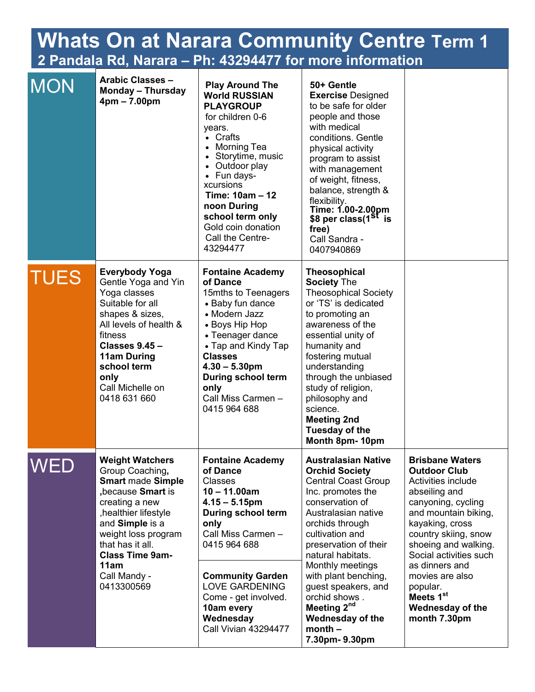| <b>Whats On at Narara Community Centre Term 1</b><br>2 Pandala Rd, Narara - Ph: 43294477 for more information |                                                                                                                                                                                                                                                                     |                                                                                                                                                                                                                                                                                                               |                                                                                                                                                                                                                                                                                                                                                                                                              |                                                                                                                                                                                                                                                                                                                                                      |  |  |  |
|---------------------------------------------------------------------------------------------------------------|---------------------------------------------------------------------------------------------------------------------------------------------------------------------------------------------------------------------------------------------------------------------|---------------------------------------------------------------------------------------------------------------------------------------------------------------------------------------------------------------------------------------------------------------------------------------------------------------|--------------------------------------------------------------------------------------------------------------------------------------------------------------------------------------------------------------------------------------------------------------------------------------------------------------------------------------------------------------------------------------------------------------|------------------------------------------------------------------------------------------------------------------------------------------------------------------------------------------------------------------------------------------------------------------------------------------------------------------------------------------------------|--|--|--|
| <b>MON</b>                                                                                                    | <b>Arabic Classes -</b><br><b>Monday - Thursday</b><br>$4pm - 7.00pm$                                                                                                                                                                                               | <b>Play Around The</b><br><b>World RUSSIAN</b><br><b>PLAYGROUP</b><br>for children 0-6<br>years.<br>• Crafts<br>• Morning Tea<br>• Storytime, music<br>• Outdoor play<br>• Fun days-<br>xcursions<br>Time: 10am - 12<br>noon During<br>school term only<br>Gold coin donation<br>Call the Centre-<br>43294477 | 50+ Gentle<br><b>Exercise Designed</b><br>to be safe for older<br>people and those<br>with medical<br>conditions. Gentle<br>physical activity<br>program to assist<br>with management<br>of weight, fitness,<br>balance, strength &<br>flexibility.<br>Time: 1.00-2.00pm<br>\$8 per class(1 <sup>St</sup> is<br>free)<br>Call Sandra -<br>0407940869                                                         |                                                                                                                                                                                                                                                                                                                                                      |  |  |  |
| <b>TUES</b>                                                                                                   | <b>Everybody Yoga</b><br>Gentle Yoga and Yin<br>Yoga classes<br>Suitable for all<br>shapes & sizes,<br>All levels of health &<br>fitness<br><b>Classes 9.45 -</b><br><b>11am During</b><br>school term<br>only<br>Call Michelle on<br>0418 631 660                  | <b>Fontaine Academy</b><br>of Dance<br>15mths to Teenagers<br>• Baby fun dance<br>• Modern Jazz<br>• Boys Hip Hop<br>• Teenager dance<br>• Tap and Kindy Tap<br><b>Classes</b><br>$4.30 - 5.30$ pm<br><b>During school term</b><br>only<br>Call Miss Carmen -<br>0415 964 688                                 | <b>Theosophical</b><br><b>Society The</b><br><b>Theosophical Society</b><br>or 'TS' is dedicated<br>to promoting an<br>awareness of the<br>essential unity of<br>humanity and<br>fostering mutual<br>understanding<br>through the unbiased<br>study of religion,<br>philosophy and<br>science.<br><b>Meeting 2nd</b><br><b>Tuesday of the</b><br>Month 8pm-10pm                                              |                                                                                                                                                                                                                                                                                                                                                      |  |  |  |
| <b>WED</b>                                                                                                    | <b>Weight Watchers</b><br>Group Coaching,<br><b>Smart made Simple</b><br>,because Smart is<br>creating a new<br>, healthier lifestyle<br>and Simple is a<br>weight loss program<br>that has it all.<br><b>Class Time 9am-</b><br>11am<br>Call Mandy -<br>0413300569 | <b>Fontaine Academy</b><br>of Dance<br><b>Classes</b><br>$10 - 11.00am$<br>$4.15 - 5.15$ pm<br><b>During school term</b><br>only<br>Call Miss Carmen -<br>0415 964 688<br><b>Community Garden</b><br><b>LOVE GARDENING</b><br>Come - get involved.<br>10am every<br>Wednesday<br><b>Call Vivian 43294477</b>  | <b>Australasian Native</b><br><b>Orchid Society</b><br><b>Central Coast Group</b><br>Inc. promotes the<br>conservation of<br>Australasian native<br>orchids through<br>cultivation and<br>preservation of their<br>natural habitats.<br>Monthly meetings<br>with plant benching,<br>guest speakers, and<br>orchid shows.<br>Meeting 2 <sup>nd</sup><br><b>Wednesday of the</b><br>$month -$<br>7.30pm-9.30pm | <b>Brisbane Waters</b><br><b>Outdoor Club</b><br>Activities include<br>abseiling and<br>canyoning, cycling<br>and mountain biking,<br>kayaking, cross<br>country skiing, snow<br>shoeing and walking.<br>Social activities such<br>as dinners and<br>movies are also<br>popular.<br>Meets 1 <sup>st</sup><br><b>Wednesday of the</b><br>month 7.30pm |  |  |  |